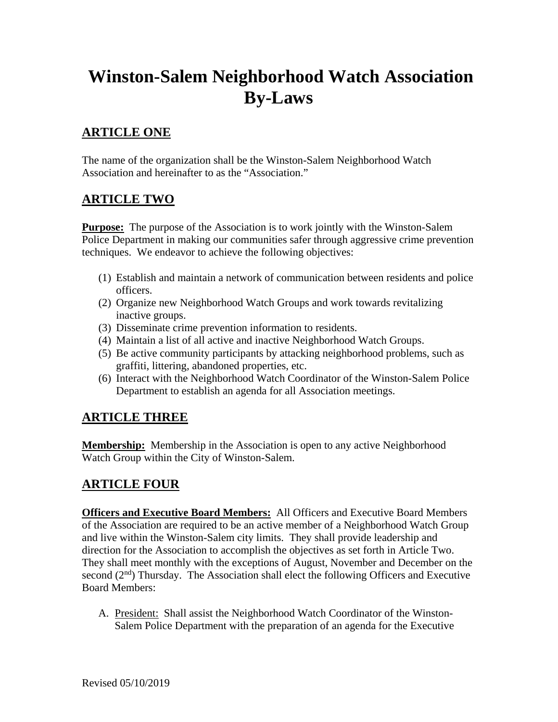# **Winston-Salem Neighborhood Watch Association By-Laws**

# **ARTICLE ONE**

The name of the organization shall be the Winston-Salem Neighborhood Watch Association and hereinafter to as the "Association."

## **ARTICLE TWO**

**Purpose:** The purpose of the Association is to work jointly with the Winston-Salem Police Department in making our communities safer through aggressive crime prevention techniques. We endeavor to achieve the following objectives:

- (1) Establish and maintain a network of communication between residents and police officers.
- (2) Organize new Neighborhood Watch Groups and work towards revitalizing inactive groups.
- (3) Disseminate crime prevention information to residents.
- (4) Maintain a list of all active and inactive Neighborhood Watch Groups.
- (5) Be active community participants by attacking neighborhood problems, such as graffiti, littering, abandoned properties, etc.
- (6) Interact with the Neighborhood Watch Coordinator of the Winston-Salem Police Department to establish an agenda for all Association meetings.

## **ARTICLE THREE**

**Membership:** Membership in the Association is open to any active Neighborhood Watch Group within the City of Winston-Salem.

## **ARTICLE FOUR**

**Officers and Executive Board Members:** All Officers and Executive Board Members of the Association are required to be an active member of a Neighborhood Watch Group and live within the Winston-Salem city limits. They shall provide leadership and direction for the Association to accomplish the objectives as set forth in Article Two. They shall meet monthly with the exceptions of August, November and December on the second  $(2<sup>nd</sup>)$  Thursday. The Association shall elect the following Officers and Executive Board Members:

A. President: Shall assist the Neighborhood Watch Coordinator of the Winston-Salem Police Department with the preparation of an agenda for the Executive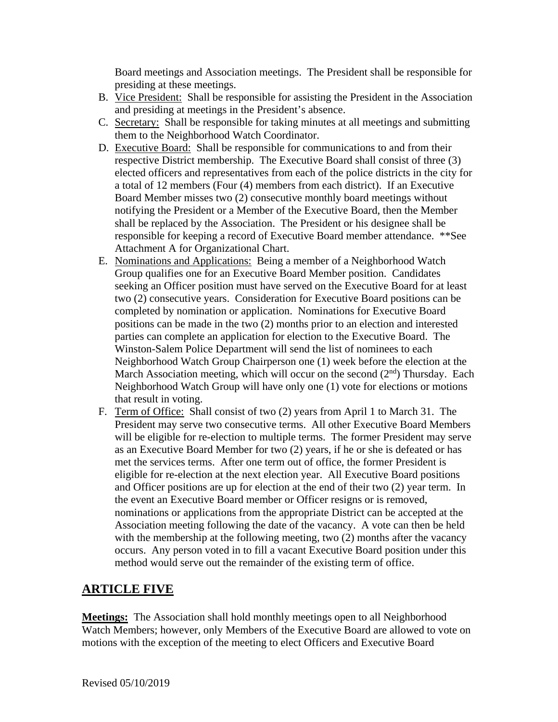Board meetings and Association meetings. The President shall be responsible for presiding at these meetings.

- B. Vice President: Shall be responsible for assisting the President in the Association and presiding at meetings in the President's absence.
- C. Secretary: Shall be responsible for taking minutes at all meetings and submitting them to the Neighborhood Watch Coordinator.
- D. Executive Board: Shall be responsible for communications to and from their respective District membership. The Executive Board shall consist of three (3) elected officers and representatives from each of the police districts in the city for a total of 12 members (Four (4) members from each district). If an Executive Board Member misses two (2) consecutive monthly board meetings without notifying the President or a Member of the Executive Board, then the Member shall be replaced by the Association. The President or his designee shall be responsible for keeping a record of Executive Board member attendance. \*\*See Attachment A for Organizational Chart.
- E. Nominations and Applications: Being a member of a Neighborhood Watch Group qualifies one for an Executive Board Member position. Candidates seeking an Officer position must have served on the Executive Board for at least two (2) consecutive years. Consideration for Executive Board positions can be completed by nomination or application. Nominations for Executive Board positions can be made in the two (2) months prior to an election and interested parties can complete an application for election to the Executive Board. The Winston-Salem Police Department will send the list of nominees to each Neighborhood Watch Group Chairperson one (1) week before the election at the March Association meeting, which will occur on the second  $(2<sup>nd</sup>)$  Thursday. Each Neighborhood Watch Group will have only one (1) vote for elections or motions that result in voting.
- F. Term of Office: Shall consist of two (2) years from April 1 to March 31. The President may serve two consecutive terms. All other Executive Board Members will be eligible for re-election to multiple terms. The former President may serve as an Executive Board Member for two (2) years, if he or she is defeated or has met the services terms. After one term out of office, the former President is eligible for re-election at the next election year. All Executive Board positions and Officer positions are up for election at the end of their two (2) year term. In the event an Executive Board member or Officer resigns or is removed, nominations or applications from the appropriate District can be accepted at the Association meeting following the date of the vacancy. A vote can then be held with the membership at the following meeting, two (2) months after the vacancy occurs. Any person voted in to fill a vacant Executive Board position under this method would serve out the remainder of the existing term of office.

## **ARTICLE FIVE**

**Meetings:** The Association shall hold monthly meetings open to all Neighborhood Watch Members; however, only Members of the Executive Board are allowed to vote on motions with the exception of the meeting to elect Officers and Executive Board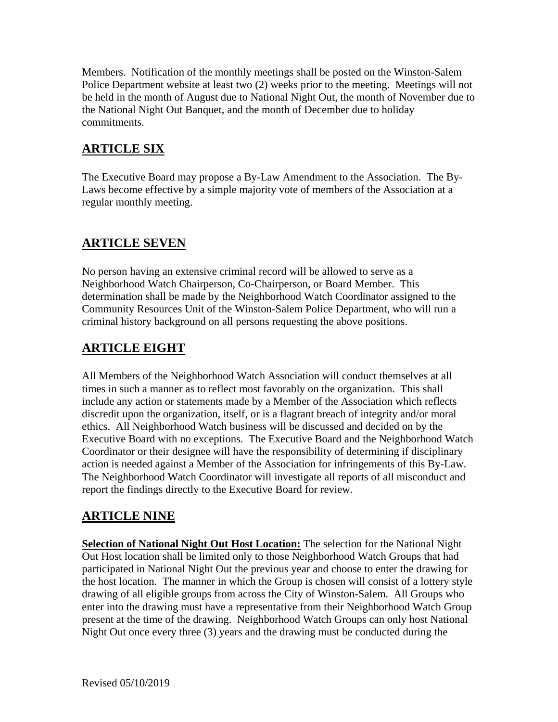Members. Notification of the monthly meetings shall be posted on the Winston-Salem Police Department website at least two (2) weeks prior to the meeting. Meetings will not be held in the month of August due to National Night Out, the month of November due to the National Night Out Banquet, and the month of December due to holiday commitments.

# **ARTICLE SIX**

The Executive Board may propose a By-Law Amendment to the Association. The By-Laws become effective by a simple majority vote of members of the Association at a regular monthly meeting.

## **ARTICLE SEVEN**

No person having an extensive criminal record will be allowed to serve as a Neighborhood Watch Chairperson, Co-Chairperson, or Board Member. This determination shall be made by the Neighborhood Watch Coordinator assigned to the Community Resources Unit of the Winston-Salem Police Department, who will run a criminal history background on all persons requesting the above positions.

# **ARTICLE EIGHT**

All Members of the Neighborhood Watch Association will conduct themselves at all times in such a manner as to reflect most favorably on the organization. This shall include any action or statements made by a Member of the Association which reflects discredit upon the organization, itself, or is a flagrant breach of integrity and/or moral ethics. All Neighborhood Watch business will be discussed and decided on by the Executive Board with no exceptions. The Executive Board and the Neighborhood Watch Coordinator or their designee will have the responsibility of determining if disciplinary action is needed against a Member of the Association for infringements of this By-Law. The Neighborhood Watch Coordinator will investigate all reports of all misconduct and report the findings directly to the Executive Board for review.

# **ARTICLE NINE**

**Selection of National Night Out Host Location:** The selection for the National Night Out Host location shall be limited only to those Neighborhood Watch Groups that had participated in National Night Out the previous year and choose to enter the drawing for the host location. The manner in which the Group is chosen will consist of a lottery style drawing of all eligible groups from across the City of Winston-Salem. All Groups who enter into the drawing must have a representative from their Neighborhood Watch Group present at the time of the drawing. Neighborhood Watch Groups can only host National Night Out once every three (3) years and the drawing must be conducted during the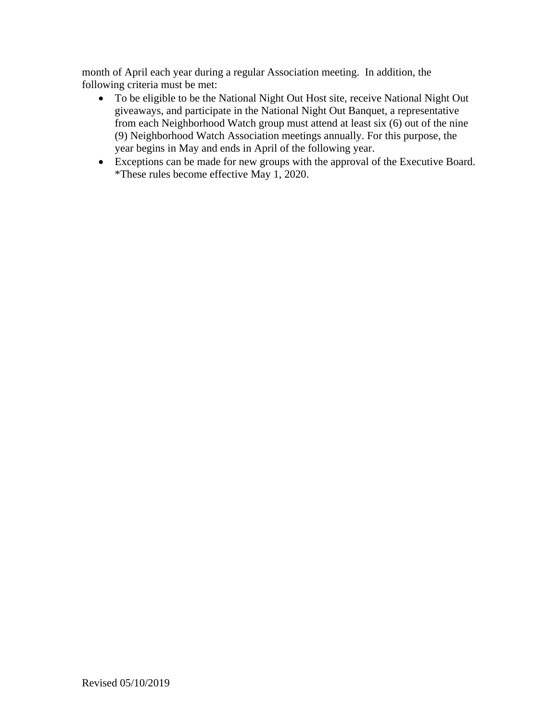month of April each year during a regular Association meeting. In addition, the following criteria must be met:

- To be eligible to be the National Night Out Host site, receive National Night Out giveaways, and participate in the National Night Out Banquet, a representative from each Neighborhood Watch group must attend at least six (6) out of the nine (9) Neighborhood Watch Association meetings annually. For this purpose, the year begins in May and ends in April of the following year.
- Exceptions can be made for new groups with the approval of the Executive Board. \*These rules become effective May 1, 2020.